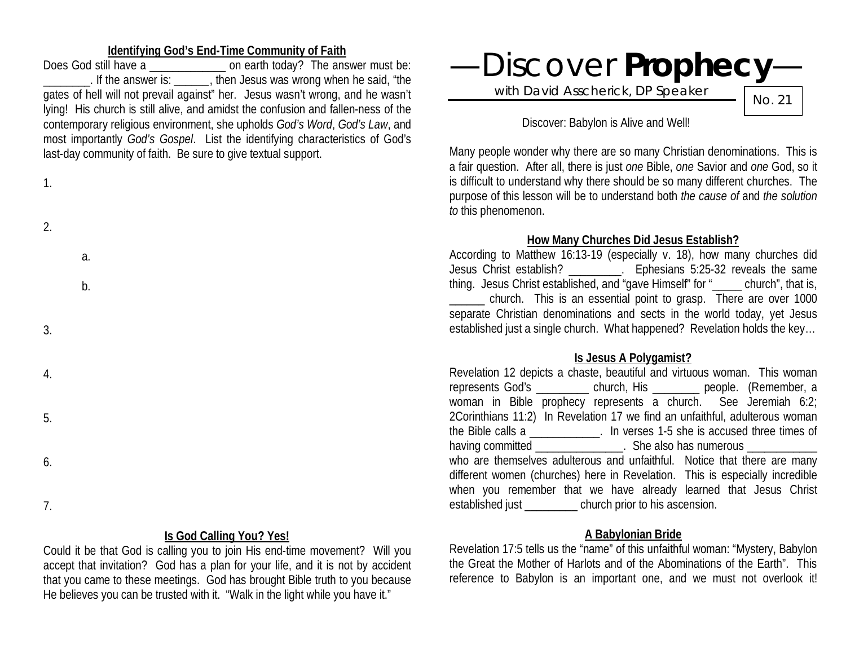## **Identifying God's End-Time Community of Faith**

Does God still have a \_\_\_\_\_\_\_\_\_\_\_\_\_ on earth today? The answer must be: \_\_\_\_\_\_\_\_. If the answer is: *\_\_\_\_\_\_*, then Jesus was wrong when he said, "the gates of hell will not prevail against" her. Jesus wasn't wrong, and he wasn't lying! His church is still alive, and amidst the confusion and fallen-ness of the contemporary religious environment, she upholds *God's Word*, *God's Law*, and most importantly *God's Gospel*. List the identifying characteristics of God's last-day community of faith. Be sure to give textual support.

| ۰. |  |
|----|--|
|    |  |

| $\overline{2}$ . |  |  |  |
|------------------|--|--|--|
|                  |  |  |  |

a. b.

3.

4.

5.

6.

7.

### **Is God Calling You? Yes!**

Could it be that God is calling you to join His end-time movement? Will you accept that invitation? God has a plan for your life, and it is not by accident that you came to these meetings. God has brought Bible truth to you because He believes you can be trusted with it. "Walk in the light while you have it."



### Discover: Babylon is Alive and Well!

Many people wonder why there are so many Christian denominations. This is a fair question. After all, there is just *one* Bible, *one* Savior and *one* God, so it is difficult to understand why there should be so many different churches. The purpose of this lesson will be to understand both *the cause of* and *the solution to* this phenomenon.

#### **How Many Churches Did Jesus Establish?**

According to Matthew 16:13-19 (especially v. 18), how many churches did Jesus Christ establish? \_\_\_\_\_\_\_\_\_. Ephesians 5:25-32 reveals the same thing. Jesus Christ established, and "gave Himself" for " church", that is, \_\_\_\_\_\_ church. This is an essential point to grasp. There are over 1000 separate Christian denominations and sects in the world today, yet Jesus established just a single church. What happened? Revelation holds the key…

#### **Is Jesus A Polygamist?**

Revelation 12 depicts a chaste, beautiful and virtuous woman. This woman represents God's \_\_\_\_\_\_\_\_\_ church, His \_\_\_\_\_\_\_\_ people. (Remember, a woman in Bible prophecy represents a church. See Jeremiah 6:2; 2Corinthians 11:2) In Revelation 17 we find an unfaithful, adulterous woman the Bible calls a \_\_\_\_\_\_\_\_\_\_\_\_. In verses 1-5 she is accused three times of having committed **Example 2.5** She also has numerous who are themselves adulterous and unfaithful. Notice that there are many different women (churches) here in Revelation. This is especially incredible when you remember that we have already learned that Jesus Christ established just \_\_\_\_\_\_\_\_\_ church prior to his ascension.

### **A Babylonian Bride**

Revelation 17:5 tells us the "name" of this unfaithful woman: "Mystery, Babylon the Great the Mother of Harlots and of the Abominations of the Earth". This reference to Babylon is an important one, and we must not overlook it!